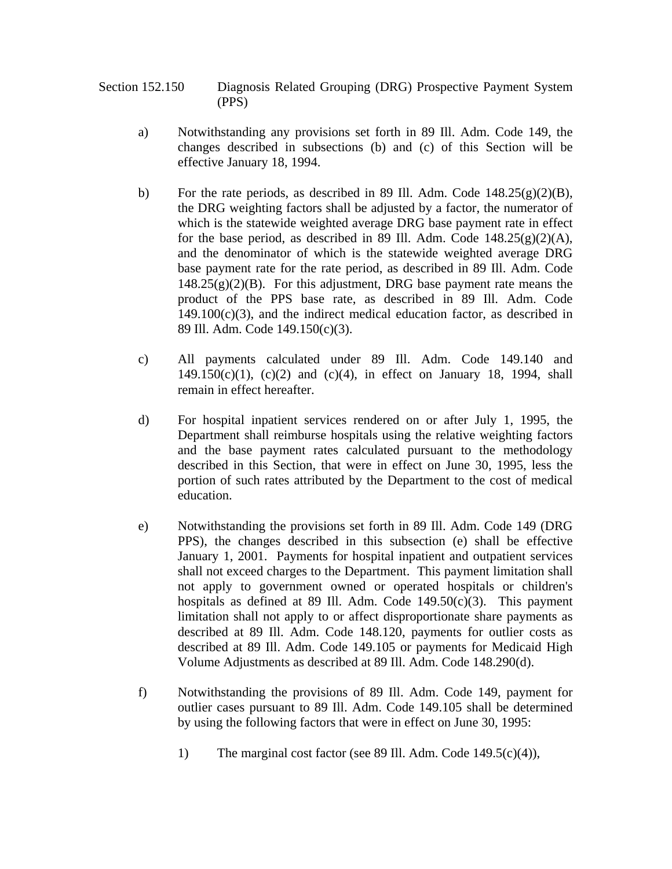Section 152.150 Diagnosis Related Grouping (DRG) Prospective Payment System (PPS)

- a) Notwithstanding any provisions set forth in 89 Ill. Adm. Code 149, the changes described in subsections (b) and (c) of this Section will be effective January 18, 1994.
- b) For the rate periods, as described in 89 Ill. Adm. Code 148.25(g)(2)(B), the DRG weighting factors shall be adjusted by a factor, the numerator of which is the statewide weighted average DRG base payment rate in effect for the base period, as described in 89 Ill. Adm. Code  $148.25(g)(2)(A)$ , and the denominator of which is the statewide weighted average DRG base payment rate for the rate period, as described in 89 Ill. Adm. Code  $148.25(g)(2)(B)$ . For this adjustment, DRG base payment rate means the product of the PPS base rate, as described in 89 Ill. Adm. Code  $149.100(c)(3)$ , and the indirect medical education factor, as described in 89 Ill. Adm. Code 149.150(c)(3).
- c) All payments calculated under 89 Ill. Adm. Code 149.140 and  $149.150(c)(1)$ ,  $(c)(2)$  and  $(c)(4)$ , in effect on January 18, 1994, shall remain in effect hereafter.
- d) For hospital inpatient services rendered on or after July 1, 1995, the Department shall reimburse hospitals using the relative weighting factors and the base payment rates calculated pursuant to the methodology described in this Section, that were in effect on June 30, 1995, less the portion of such rates attributed by the Department to the cost of medical education.
- e) Notwithstanding the provisions set forth in 89 Ill. Adm. Code 149 (DRG PPS), the changes described in this subsection (e) shall be effective January 1, 2001. Payments for hospital inpatient and outpatient services shall not exceed charges to the Department. This payment limitation shall not apply to government owned or operated hospitals or children's hospitals as defined at 89 Ill. Adm. Code  $149.50(c)(3)$ . This payment limitation shall not apply to or affect disproportionate share payments as described at 89 Ill. Adm. Code 148.120, payments for outlier costs as described at 89 Ill. Adm. Code 149.105 or payments for Medicaid High Volume Adjustments as described at 89 Ill. Adm. Code 148.290(d).
- f) Notwithstanding the provisions of 89 Ill. Adm. Code 149, payment for outlier cases pursuant to 89 Ill. Adm. Code 149.105 shall be determined by using the following factors that were in effect on June 30, 1995:
	- 1) The marginal cost factor (see 89 Ill. Adm. Code 149.5(c)(4)),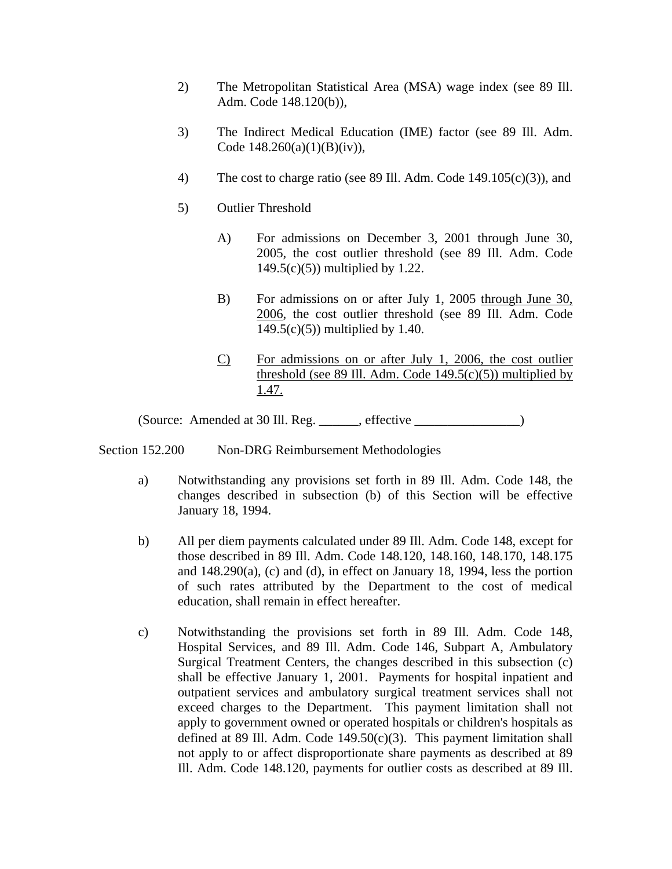- 2) The Metropolitan Statistical Area (MSA) wage index (see 89 Ill. Adm. Code 148.120(b)),
- 3) The Indirect Medical Education (IME) factor (see 89 Ill. Adm. Code 148.260(a)(1)(B)(iv)),
- 4) The cost to charge ratio (see 89 Ill. Adm. Code 149.105(c)(3)), and
- 5) Outlier Threshold
	- A) For admissions on December 3, 2001 through June 30, 2005, the cost outlier threshold (see 89 Ill. Adm. Code 149.5(c)(5)) multiplied by 1.22.
	- B) For admissions on or after July 1, 2005 through June 30, 2006, the cost outlier threshold (see 89 Ill. Adm. Code 149.5(c)(5)) multiplied by 1.40.
	- C) For admissions on or after July 1, 2006, the cost outlier threshold (see 89 Ill. Adm. Code  $149.5(c)(5)$ ) multiplied by 1.47.

(Source: Amended at 30 Ill. Reg. \_\_\_\_\_\_, effective \_\_\_\_\_\_\_\_\_\_\_\_\_\_\_\_)

Section 152.200 Non-DRG Reimbursement Methodologies

- a) Notwithstanding any provisions set forth in 89 Ill. Adm. Code 148, the changes described in subsection (b) of this Section will be effective January 18, 1994.
- b) All per diem payments calculated under 89 Ill. Adm. Code 148, except for those described in 89 Ill. Adm. Code 148.120, 148.160, 148.170, 148.175 and  $148.290(a)$ , (c) and (d), in effect on January 18, 1994, less the portion of such rates attributed by the Department to the cost of medical education, shall remain in effect hereafter.
- c) Notwithstanding the provisions set forth in 89 Ill. Adm. Code 148, Hospital Services, and 89 Ill. Adm. Code 146, Subpart A, Ambulatory Surgical Treatment Centers, the changes described in this subsection (c) shall be effective January 1, 2001. Payments for hospital inpatient and outpatient services and ambulatory surgical treatment services shall not exceed charges to the Department. This payment limitation shall not apply to government owned or operated hospitals or children's hospitals as defined at 89 Ill. Adm. Code  $149.50(c)(3)$ . This payment limitation shall not apply to or affect disproportionate share payments as described at 89 Ill. Adm. Code 148.120, payments for outlier costs as described at 89 Ill.